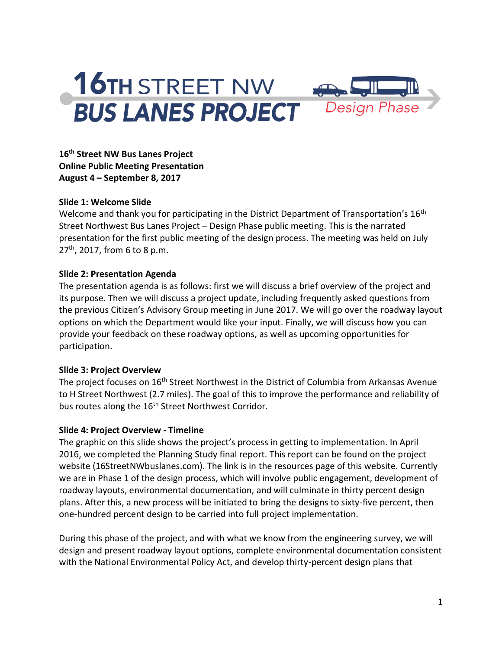# **16TH STREET NW BUS LANES PROJECT**



**16th Street NW Bus Lanes Project Online Public Meeting Presentation August 4 – September 8, 2017**

## **Slide 1: Welcome Slide**

Welcome and thank you for participating in the District Department of Transportation's 16<sup>th</sup> Street Northwest Bus Lanes Project – Design Phase public meeting. This is the narrated presentation for the first public meeting of the design process. The meeting was held on July  $27<sup>th</sup>$ , 2017, from 6 to 8 p.m.

#### **Slide 2: Presentation Agenda**

The presentation agenda is as follows: first we will discuss a brief overview of the project and its purpose. Then we will discuss a project update, including frequently asked questions from the previous Citizen's Advisory Group meeting in June 2017. We will go over the roadway layout options on which the Department would like your input. Finally, we will discuss how you can provide your feedback on these roadway options, as well as upcoming opportunities for participation.

## **Slide 3: Project Overview**

The project focuses on 16<sup>th</sup> Street Northwest in the District of Columbia from Arkansas Avenue to H Street Northwest (2.7 miles). The goal of this to improve the performance and reliability of bus routes along the 16<sup>th</sup> Street Northwest Corridor.

## **Slide 4: Project Overview - Timeline**

The graphic on this slide shows the project's process in getting to implementation. In April 2016, we completed the Planning Study final report. This report can be found on the project website (16StreetNWbuslanes.com). The link is in the resources page of this website. Currently we are in Phase 1 of the design process, which will involve public engagement, development of roadway layouts, environmental documentation, and will culminate in thirty percent design plans. After this, a new process will be initiated to bring the designs to sixty-five percent, then one-hundred percent design to be carried into full project implementation.

During this phase of the project, and with what we know from the engineering survey, we will design and present roadway layout options, complete environmental documentation consistent with the National Environmental Policy Act, and develop thirty-percent design plans that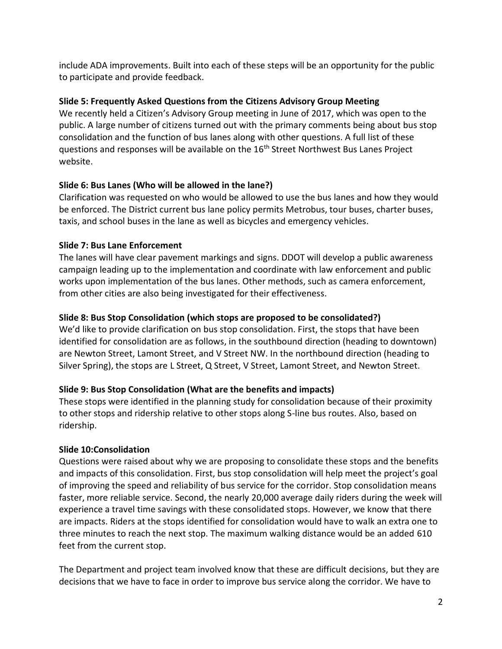include ADA improvements. Built into each of these steps will be an opportunity for the public to participate and provide feedback.

## **Slide 5: Frequently Asked Questions from the Citizens Advisory Group Meeting**

We recently held a Citizen's Advisory Group meeting in June of 2017, which was open to the public. A large number of citizens turned out with the primary comments being about bus stop consolidation and the function of bus lanes along with other questions. A full list of these questions and responses will be available on the 16th Street Northwest Bus Lanes Project website.

## **Slide 6: Bus Lanes (Who will be allowed in the lane?)**

Clarification was requested on who would be allowed to use the bus lanes and how they would be enforced. The District current bus lane policy permits Metrobus, tour buses, charter buses, taxis, and school buses in the lane as well as bicycles and emergency vehicles.

## **Slide 7: Bus Lane Enforcement**

The lanes will have clear pavement markings and signs. DDOT will develop a public awareness campaign leading up to the implementation and coordinate with law enforcement and public works upon implementation of the bus lanes. Other methods, such as camera enforcement, from other cities are also being investigated for their effectiveness.

# **Slide 8: Bus Stop Consolidation (which stops are proposed to be consolidated?)**

We'd like to provide clarification on bus stop consolidation. First, the stops that have been identified for consolidation are as follows, in the southbound direction (heading to downtown) are Newton Street, Lamont Street, and V Street NW. In the northbound direction (heading to Silver Spring), the stops are L Street, Q Street, V Street, Lamont Street, and Newton Street.

# **Slide 9: Bus Stop Consolidation (What are the benefits and impacts)**

These stops were identified in the planning study for consolidation because of their proximity to other stops and ridership relative to other stops along S-line bus routes. Also, based on ridership.

## **Slide 10:Consolidation**

Questions were raised about why we are proposing to consolidate these stops and the benefits and impacts of this consolidation. First, bus stop consolidation will help meet the project's goal of improving the speed and reliability of bus service for the corridor. Stop consolidation means faster, more reliable service. Second, the nearly 20,000 average daily riders during the week will experience a travel time savings with these consolidated stops. However, we know that there are impacts. Riders at the stops identified for consolidation would have to walk an extra one to three minutes to reach the next stop. The maximum walking distance would be an added 610 feet from the current stop.

The Department and project team involved know that these are difficult decisions, but they are decisions that we have to face in order to improve bus service along the corridor. We have to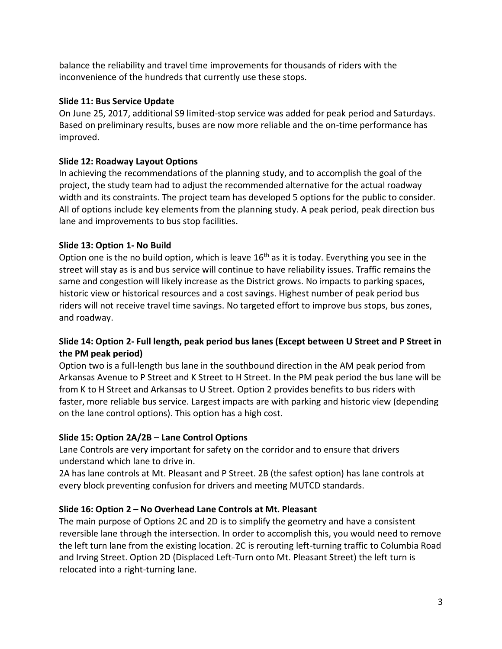balance the reliability and travel time improvements for thousands of riders with the inconvenience of the hundreds that currently use these stops.

## **Slide 11: Bus Service Update**

On June 25, 2017, additional S9 limited-stop service was added for peak period and Saturdays. Based on preliminary results, buses are now more reliable and the on-time performance has improved.

# **Slide 12: Roadway Layout Options**

In achieving the recommendations of the planning study, and to accomplish the goal of the project, the study team had to adjust the recommended alternative for the actual roadway width and its constraints. The project team has developed 5 options for the public to consider. All of options include key elements from the planning study. A peak period, peak direction bus lane and improvements to bus stop facilities.

# **Slide 13: Option 1- No Build**

Option one is the no build option, which is leave  $16<sup>th</sup>$  as it is today. Everything you see in the street will stay as is and bus service will continue to have reliability issues. Traffic remains the same and congestion will likely increase as the District grows. No impacts to parking spaces, historic view or historical resources and a cost savings. Highest number of peak period bus riders will not receive travel time savings. No targeted effort to improve bus stops, bus zones, and roadway.

## **Slide 14: Option 2- Full length, peak period bus lanes (Except between U Street and P Street in the PM peak period)**

Option two is a full-length bus lane in the southbound direction in the AM peak period from Arkansas Avenue to P Street and K Street to H Street. In the PM peak period the bus lane will be from K to H Street and Arkansas to U Street. Option 2 provides benefits to bus riders with faster, more reliable bus service. Largest impacts are with parking and historic view (depending on the lane control options). This option has a high cost.

# **Slide 15: Option 2A/2B – Lane Control Options**

Lane Controls are very important for safety on the corridor and to ensure that drivers understand which lane to drive in.

2A has lane controls at Mt. Pleasant and P Street. 2B (the safest option) has lane controls at every block preventing confusion for drivers and meeting MUTCD standards.

# **Slide 16: Option 2 – No Overhead Lane Controls at Mt. Pleasant**

The main purpose of Options 2C and 2D is to simplify the geometry and have a consistent reversible lane through the intersection. In order to accomplish this, you would need to remove the left turn lane from the existing location. 2C is rerouting left-turning traffic to Columbia Road and Irving Street. Option 2D (Displaced Left-Turn onto Mt. Pleasant Street) the left turn is relocated into a right-turning lane.